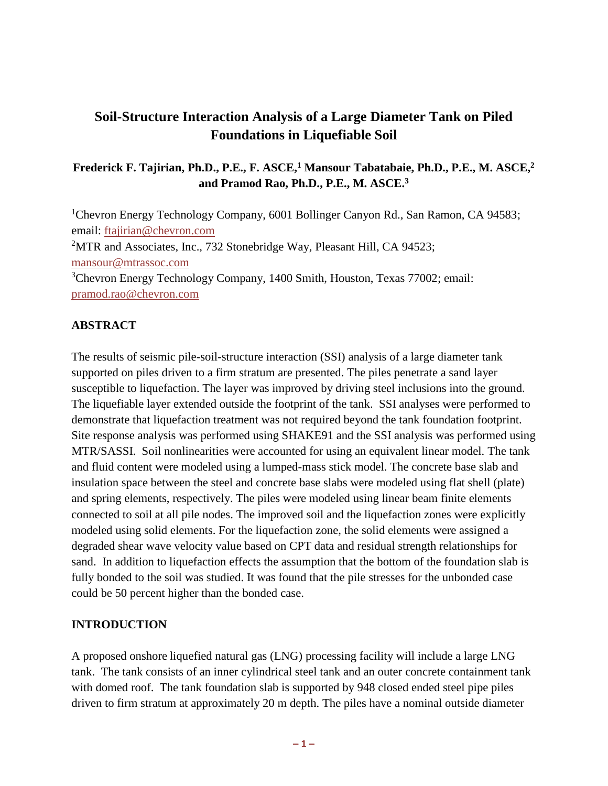# **Soil-Structure Interaction Analysis of a Large Diameter Tank on Piled Foundations in Liquefiable Soil**

# **Frederick F. Tajirian, Ph.D., P.E., F. ASCE, <sup>1</sup> Mansour Tabatabaie, Ph.D., P.E., M. ASCE, 2 and Pramod Rao, Ph.D., P.E., M. ASCE. 3**

<sup>1</sup>Chevron Energy Technology Company, 6001 Bollinger Canyon Rd., San Ramon, CA 94583; email: [ftajirian@chevron.com](mailto:ftajirian@chevron.com)  <sup>2</sup>MTR and Associates, Inc., 732 Stonebridge Way, Pleasant Hill, CA 94523; [mansour@mtrassoc.com](mailto:mansour@mtrassoc.com) <sup>3</sup>Chevron Energy Technology Company, 1400 Smith, Houston, Texas 77002; email: [pramod.rao@chevron.com](mailto:pramod.rao@chevron.com)

### **ABSTRACT**

The results of seismic pile-soil-structure interaction (SSI) analysis of a large diameter tank supported on piles driven to a firm stratum are presented. The piles penetrate a sand layer susceptible to liquefaction. The layer was improved by driving steel inclusions into the ground. The liquefiable layer extended outside the footprint of the tank. SSI analyses were performed to demonstrate that liquefaction treatment was not required beyond the tank foundation footprint. Site response analysis was performed using SHAKE91 and the SSI analysis was performed using MTR/SASSI. Soil nonlinearities were accounted for using an equivalent linear model. The tank and fluid content were modeled using a lumped-mass stick model. The concrete base slab and insulation space between the steel and concrete base slabs were modeled using flat shell (plate) and spring elements, respectively. The piles were modeled using linear beam finite elements connected to soil at all pile nodes. The improved soil and the liquefaction zones were explicitly modeled using solid elements. For the liquefaction zone, the solid elements were assigned a degraded shear wave velocity value based on CPT data and residual strength relationships for sand. In addition to liquefaction effects the assumption that the bottom of the foundation slab is fully bonded to the soil was studied. It was found that the pile stresses for the unbonded case could be 50 percent higher than the bonded case.

#### **INTRODUCTION**

A proposed onshore liquefied natural gas (LNG) processing facility will include a large LNG tank. The tank consists of an inner cylindrical steel tank and an outer concrete containment tank with domed roof. The tank foundation slab is supported by 948 closed ended steel pipe piles driven to firm stratum at approximately 20 m depth. The piles have a nominal outside diameter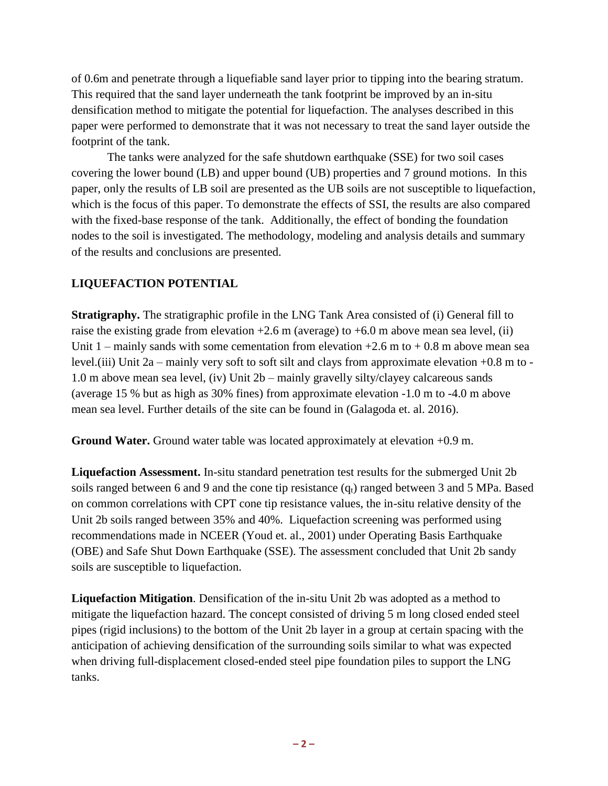of 0.6m and penetrate through a liquefiable sand layer prior to tipping into the bearing stratum. This required that the sand layer underneath the tank footprint be improved by an in-situ densification method to mitigate the potential for liquefaction. The analyses described in this paper were performed to demonstrate that it was not necessary to treat the sand layer outside the footprint of the tank.

The tanks were analyzed for the safe shutdown earthquake (SSE) for two soil cases covering the lower bound (LB) and upper bound (UB) properties and 7 ground motions. In this paper, only the results of LB soil are presented as the UB soils are not susceptible to liquefaction, which is the focus of this paper. To demonstrate the effects of SSI, the results are also compared with the fixed-base response of the tank. Additionally, the effect of bonding the foundation nodes to the soil is investigated. The methodology, modeling and analysis details and summary of the results and conclusions are presented.

# **LIQUEFACTION POTENTIAL**

**Stratigraphy.** The stratigraphic profile in the LNG Tank Area consisted of (i) General fill to raise the existing grade from elevation  $+2.6$  m (average) to  $+6.0$  m above mean sea level, (ii) Unit  $1$  – mainly sands with some cementation from elevation  $+2.6$  m to  $+0.8$  m above mean sea level.(iii) Unit 2a – mainly very soft to soft silt and clays from approximate elevation +0.8 m to - 1.0 m above mean sea level, (iv) Unit 2b – mainly gravelly silty/clayey calcareous sands (average 15 % but as high as 30% fines) from approximate elevation -1.0 m to -4.0 m above mean sea level. Further details of the site can be found in (Galagoda et. al. 2016).

**Ground Water.** Ground water table was located approximately at elevation +0.9 m.

**Liquefaction Assessment.** In-situ standard penetration test results for the submerged Unit 2b soils ranged between 6 and 9 and the cone tip resistance  $(q_t)$  ranged between 3 and 5 MPa. Based on common correlations with CPT cone tip resistance values, the in-situ relative density of the Unit 2b soils ranged between 35% and 40%. Liquefaction screening was performed using recommendations made in NCEER (Youd et. al., 2001) under Operating Basis Earthquake (OBE) and Safe Shut Down Earthquake (SSE). The assessment concluded that Unit 2b sandy soils are susceptible to liquefaction.

**Liquefaction Mitigation**. Densification of the in-situ Unit 2b was adopted as a method to mitigate the liquefaction hazard. The concept consisted of driving 5 m long closed ended steel pipes (rigid inclusions) to the bottom of the Unit 2b layer in a group at certain spacing with the anticipation of achieving densification of the surrounding soils similar to what was expected when driving full-displacement closed-ended steel pipe foundation piles to support the LNG tanks.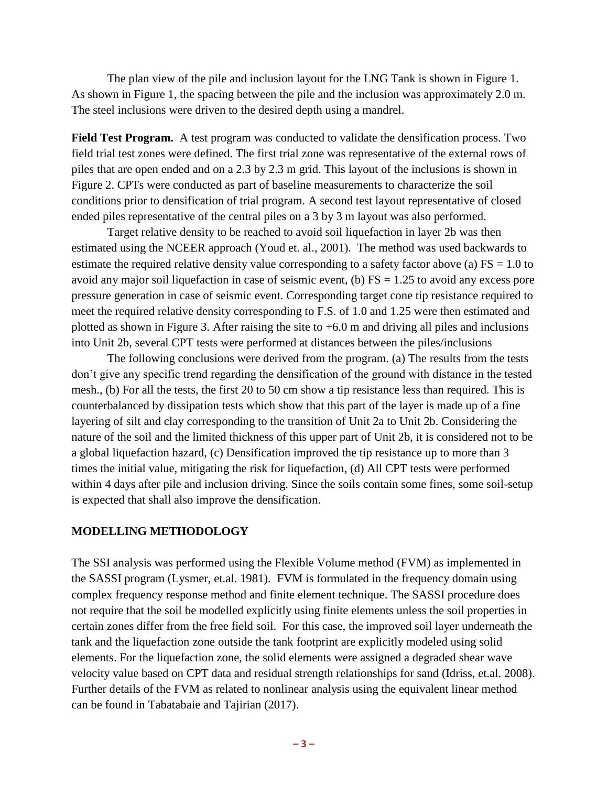The plan view of the pile and inclusion layout for the LNG Tank is shown in Figure 1. As shown in Figure 1, the spacing between the pile and the inclusion was approximately 2.0 m. The steel inclusions were driven to the desired depth using a mandrel.

**Field Test Program.** A test program was conducted to validate the densification process. Two field trial test zones were defined. The first trial zone was representative of the external rows of piles that are open ended and on a 2.3 by 2.3 m grid. This layout of the inclusions is shown in Figure 2. CPTs were conducted as part of baseline measurements to characterize the soil conditions prior to densification of trial program. A second test layout representative of closed ended piles representative of the central piles on a 3 by 3 m layout was also performed.

Target relative density to be reached to avoid soil liquefaction in layer 2b was then estimated using the NCEER approach (Youd et. al., 2001). The method was used backwards to estimate the required relative density value corresponding to a safety factor above (a)  $FS = 1.0$  to avoid any major soil liquefaction in case of seismic event, (b)  $FS = 1.25$  to avoid any excess pore pressure generation in case of seismic event. Corresponding target cone tip resistance required to meet the required relative density corresponding to F.S. of 1.0 and 1.25 were then estimated and plotted as shown in Figure 3. After raising the site to +6.0 m and driving all piles and inclusions into Unit 2b, several CPT tests were performed at distances between the piles/inclusions

The following conclusions were derived from the program. (a) The results from the tests don't give any specific trend regarding the densification of the ground with distance in the tested mesh., (b) For all the tests, the first 20 to 50 cm show a tip resistance less than required. This is counterbalanced by dissipation tests which show that this part of the layer is made up of a fine layering of silt and clay corresponding to the transition of Unit 2a to Unit 2b. Considering the nature of the soil and the limited thickness of this upper part of Unit 2b, it is considered not to be a global liquefaction hazard, (c) Densification improved the tip resistance up to more than 3 times the initial value, mitigating the risk for liquefaction, (d) All CPT tests were performed within 4 days after pile and inclusion driving. Since the soils contain some fines, some soil-setup is expected that shall also improve the densification.

#### **MODELLING METHODOLOGY**

The SSI analysis was performed using the Flexible Volume method (FVM) as implemented in the SASSI program (Lysmer, et.al. 1981). FVM is formulated in the frequency domain using complex frequency response method and finite element technique. The SASSI procedure does not require that the soil be modelled explicitly using finite elements unless the soil properties in certain zones differ from the free field soil. For this case, the improved soil layer underneath the tank and the liquefaction zone outside the tank footprint are explicitly modeled using solid elements. For the liquefaction zone, the solid elements were assigned a degraded shear wave velocity value based on CPT data and residual strength relationships for sand (Idriss, et.al. 2008). Further details of the FVM as related to nonlinear analysis using the equivalent linear method can be found in Tabatabaie and Tajirian (2017).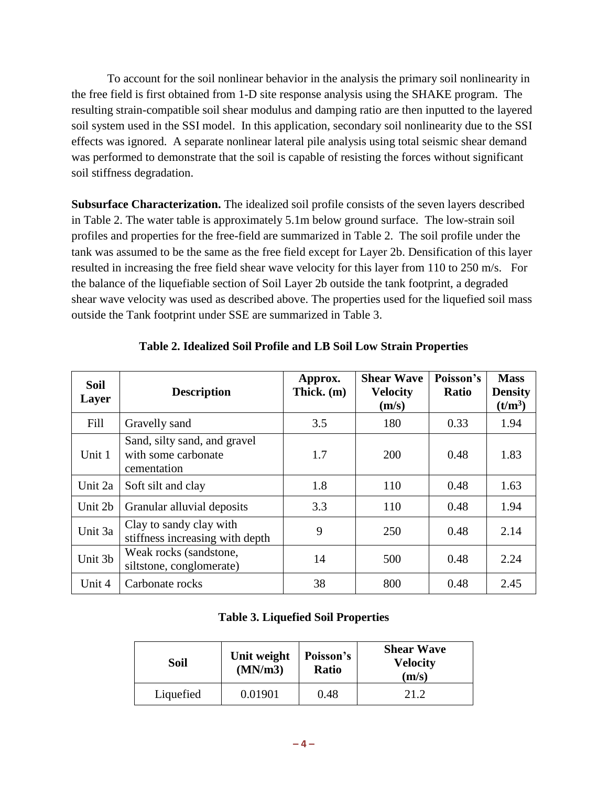To account for the soil nonlinear behavior in the analysis the primary soil nonlinearity in the free field is first obtained from 1-D site response analysis using the SHAKE program. The resulting strain-compatible soil shear modulus and damping ratio are then inputted to the layered soil system used in the SSI model. In this application, secondary soil nonlinearity due to the SSI effects was ignored. A separate nonlinear lateral pile analysis using total seismic shear demand was performed to demonstrate that the soil is capable of resisting the forces without significant soil stiffness degradation.

**Subsurface Characterization.** The idealized soil profile consists of the seven layers described in Table 2. The water table is approximately 5.1m below ground surface. The low-strain soil profiles and properties for the free-field are summarized in Table 2. The soil profile under the tank was assumed to be the same as the free field except for Layer 2b. Densification of this layer resulted in increasing the free field shear wave velocity for this layer from 110 to 250 m/s. For the balance of the liquefiable section of Soil Layer 2b outside the tank footprint, a degraded shear wave velocity was used as described above. The properties used for the liquefied soil mass outside the Tank footprint under SSE are summarized in Table 3.

| <b>Soil</b><br>Layer | <b>Description</b>                                                 | Approx.<br>Thick. (m) | <b>Shear Wave</b><br><b>Velocity</b><br>(m/s) | Poisson's<br><b>Ratio</b> | <b>Mass</b><br><b>Density</b><br>(t/m <sup>3</sup> ) |
|----------------------|--------------------------------------------------------------------|-----------------------|-----------------------------------------------|---------------------------|------------------------------------------------------|
| Fill                 | Gravelly sand                                                      | 3.5                   | 180                                           | 0.33                      | 1.94                                                 |
| Unit 1               | Sand, silty sand, and gravel<br>with some carbonate<br>cementation | 1.7                   | 200                                           | 0.48                      | 1.83                                                 |
| Unit 2a              | Soft silt and clay                                                 | 1.8                   | 110                                           | 0.48                      | 1.63                                                 |
| Unit 2b              | Granular alluvial deposits                                         | 3.3                   | 110                                           | 0.48                      | 1.94                                                 |
| Unit 3a              | Clay to sandy clay with<br>stiffness increasing with depth         | 9                     | 250                                           | 0.48                      | 2.14                                                 |
| Unit 3b              | Weak rocks (sandstone,<br>siltstone, conglomerate)                 | 14                    | 500                                           | 0.48                      | 2.24                                                 |
| Unit 4               | Carbonate rocks                                                    | 38                    | 800                                           | 0.48                      | 2.45                                                 |

# **Table 2. Idealized Soil Profile and LB Soil Low Strain Properties**

### **Table 3. Liquefied Soil Properties**

| Soil      | Unit weight<br>(MN/m3) | Poisson's<br><b>Ratio</b> | <b>Shear Wave</b><br><b>Velocity</b><br>(m/s) |  |
|-----------|------------------------|---------------------------|-----------------------------------------------|--|
| Liquefied | 0.01901                | 0.48                      | 21.2                                          |  |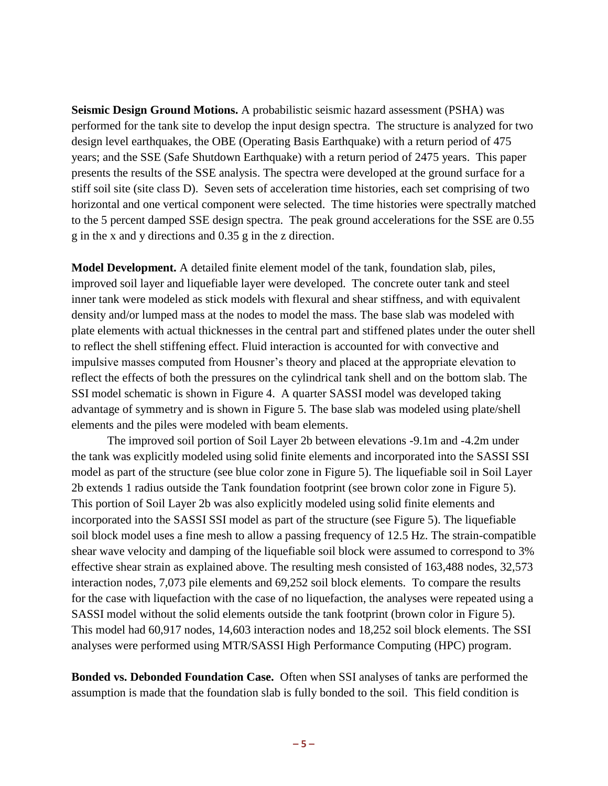**Seismic Design Ground Motions.** A probabilistic seismic hazard assessment (PSHA) was performed for the tank site to develop the input design spectra. The structure is analyzed for two design level earthquakes, the OBE (Operating Basis Earthquake) with a return period of 475 years; and the SSE (Safe Shutdown Earthquake) with a return period of 2475 years. This paper presents the results of the SSE analysis. The spectra were developed at the ground surface for a stiff soil site (site class D). Seven sets of acceleration time histories, each set comprising of two horizontal and one vertical component were selected. The time histories were spectrally matched to the 5 percent damped SSE design spectra. The peak ground accelerations for the SSE are 0.55 g in the x and y directions and 0.35 g in the z direction.

**Model Development.** A detailed finite element model of the tank, foundation slab, piles, improved soil layer and liquefiable layer were developed. The concrete outer tank and steel inner tank were modeled as stick models with flexural and shear stiffness, and with equivalent density and/or lumped mass at the nodes to model the mass. The base slab was modeled with plate elements with actual thicknesses in the central part and stiffened plates under the outer shell to reflect the shell stiffening effect. Fluid interaction is accounted for with convective and impulsive masses computed from Housner's theory and placed at the appropriate elevation to reflect the effects of both the pressures on the cylindrical tank shell and on the bottom slab. The SSI model schematic is shown in Figure 4. A quarter SASSI model was developed taking advantage of symmetry and is shown in Figure 5. The base slab was modeled using plate/shell elements and the piles were modeled with beam elements.

The improved soil portion of Soil Layer 2b between elevations -9.1m and -4.2m under the tank was explicitly modeled using solid finite elements and incorporated into the SASSI SSI model as part of the structure (see blue color zone in Figure 5). The liquefiable soil in Soil Layer 2b extends 1 radius outside the Tank foundation footprint (see brown color zone in Figure 5). This portion of Soil Layer 2b was also explicitly modeled using solid finite elements and incorporated into the SASSI SSI model as part of the structure (see Figure 5). The liquefiable soil block model uses a fine mesh to allow a passing frequency of 12.5 Hz. The strain-compatible shear wave velocity and damping of the liquefiable soil block were assumed to correspond to 3% effective shear strain as explained above. The resulting mesh consisted of 163,488 nodes, 32,573 interaction nodes, 7,073 pile elements and 69,252 soil block elements. To compare the results for the case with liquefaction with the case of no liquefaction, the analyses were repeated using a SASSI model without the solid elements outside the tank footprint (brown color in Figure 5). This model had 60,917 nodes, 14,603 interaction nodes and 18,252 soil block elements. The SSI analyses were performed using MTR/SASSI High Performance Computing (HPC) program.

**Bonded vs. Debonded Foundation Case.** Often when SSI analyses of tanks are performed the assumption is made that the foundation slab is fully bonded to the soil. This field condition is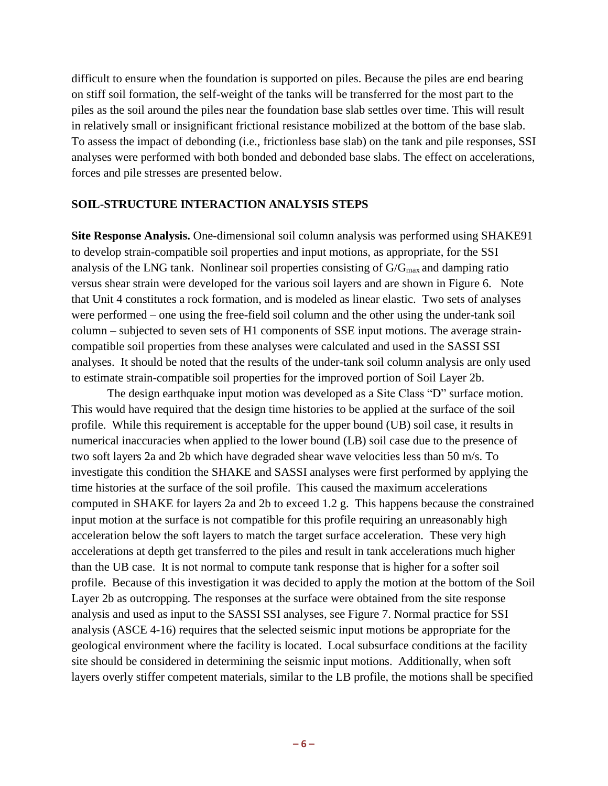difficult to ensure when the foundation is supported on piles. Because the piles are end bearing on stiff soil formation, the self-weight of the tanks will be transferred for the most part to the piles as the soil around the piles near the foundation base slab settles over time. This will result in relatively small or insignificant frictional resistance mobilized at the bottom of the base slab. To assess the impact of debonding (i.e., frictionless base slab) on the tank and pile responses, SSI analyses were performed with both bonded and debonded base slabs. The effect on accelerations, forces and pile stresses are presented below.

#### **SOIL-STRUCTURE INTERACTION ANALYSIS STEPS**

**Site Response Analysis.** One-dimensional soil column analysis was performed using SHAKE91 to develop strain-compatible soil properties and input motions, as appropriate, for the SSI analysis of the LNG tank. Nonlinear soil properties consisting of G/Gmax and damping ratio versus shear strain were developed for the various soil layers and are shown in Figure 6. Note that Unit 4 constitutes a rock formation, and is modeled as linear elastic. Two sets of analyses were performed – one using the free-field soil column and the other using the under-tank soil column – subjected to seven sets of H1 components of SSE input motions. The average straincompatible soil properties from these analyses were calculated and used in the SASSI SSI analyses. It should be noted that the results of the under-tank soil column analysis are only used to estimate strain-compatible soil properties for the improved portion of Soil Layer 2b.

The design earthquake input motion was developed as a Site Class "D" surface motion. This would have required that the design time histories to be applied at the surface of the soil profile. While this requirement is acceptable for the upper bound (UB) soil case, it results in numerical inaccuracies when applied to the lower bound (LB) soil case due to the presence of two soft layers 2a and 2b which have degraded shear wave velocities less than 50 m/s. To investigate this condition the SHAKE and SASSI analyses were first performed by applying the time histories at the surface of the soil profile. This caused the maximum accelerations computed in SHAKE for layers 2a and 2b to exceed 1.2 g. This happens because the constrained input motion at the surface is not compatible for this profile requiring an unreasonably high acceleration below the soft layers to match the target surface acceleration. These very high accelerations at depth get transferred to the piles and result in tank accelerations much higher than the UB case. It is not normal to compute tank response that is higher for a softer soil profile. Because of this investigation it was decided to apply the motion at the bottom of the Soil Layer 2b as outcropping. The responses at the surface were obtained from the site response analysis and used as input to the SASSI SSI analyses, see Figure 7. Normal practice for SSI analysis (ASCE 4-16) requires that the selected seismic input motions be appropriate for the geological environment where the facility is located. Local subsurface conditions at the facility site should be considered in determining the seismic input motions. Additionally, when soft layers overly stiffer competent materials, similar to the LB profile, the motions shall be specified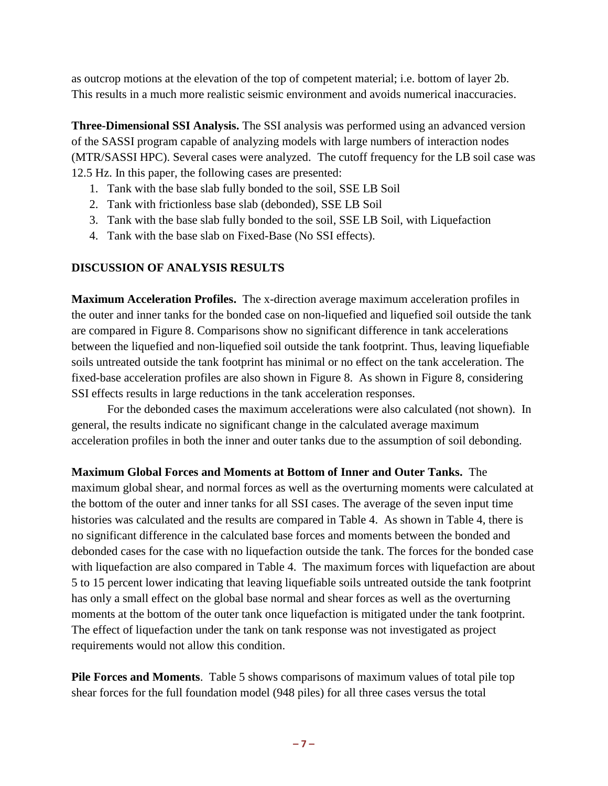as outcrop motions at the elevation of the top of competent material; i.e. bottom of layer 2b. This results in a much more realistic seismic environment and avoids numerical inaccuracies.

**Three-Dimensional SSI Analysis.** The SSI analysis was performed using an advanced version of the SASSI program capable of analyzing models with large numbers of interaction nodes (MTR/SASSI HPC). Several cases were analyzed. The cutoff frequency for the LB soil case was 12.5 Hz. In this paper, the following cases are presented:

- 1. Tank with the base slab fully bonded to the soil, SSE LB Soil
- 2. Tank with frictionless base slab (debonded), SSE LB Soil
- 3. Tank with the base slab fully bonded to the soil, SSE LB Soil, with Liquefaction
- 4. Tank with the base slab on Fixed-Base (No SSI effects).

# **DISCUSSION OF ANALYSIS RESULTS**

**Maximum Acceleration Profiles.** The x-direction average maximum acceleration profiles in the outer and inner tanks for the bonded case on non-liquefied and liquefied soil outside the tank are compared in Figure 8. Comparisons show no significant difference in tank accelerations between the liquefied and non-liquefied soil outside the tank footprint. Thus, leaving liquefiable soils untreated outside the tank footprint has minimal or no effect on the tank acceleration. The fixed-base acceleration profiles are also shown in Figure 8. As shown in Figure 8, considering SSI effects results in large reductions in the tank acceleration responses.

For the debonded cases the maximum accelerations were also calculated (not shown). In general, the results indicate no significant change in the calculated average maximum acceleration profiles in both the inner and outer tanks due to the assumption of soil debonding.

**Maximum Global Forces and Moments at Bottom of Inner and Outer Tanks.** The

maximum global shear, and normal forces as well as the overturning moments were calculated at the bottom of the outer and inner tanks for all SSI cases. The average of the seven input time histories was calculated and the results are compared in Table 4. As shown in Table 4, there is no significant difference in the calculated base forces and moments between the bonded and debonded cases for the case with no liquefaction outside the tank. The forces for the bonded case with liquefaction are also compared in Table 4. The maximum forces with liquefaction are about 5 to 15 percent lower indicating that leaving liquefiable soils untreated outside the tank footprint has only a small effect on the global base normal and shear forces as well as the overturning moments at the bottom of the outer tank once liquefaction is mitigated under the tank footprint. The effect of liquefaction under the tank on tank response was not investigated as project requirements would not allow this condition.

**Pile Forces and Moments**. Table 5 shows comparisons of maximum values of total pile top shear forces for the full foundation model (948 piles) for all three cases versus the total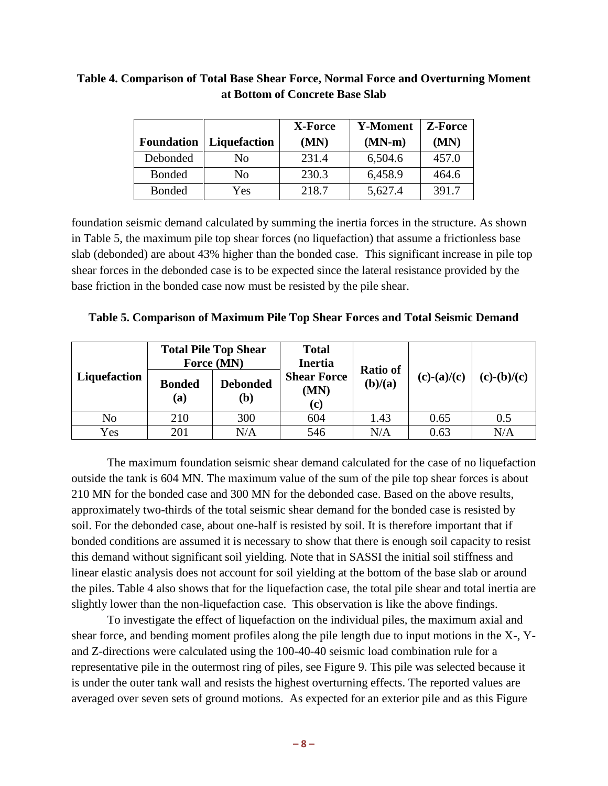|                   |              | <b>Y-Moment</b><br>X-Force |          | <b>Z-Force</b> |
|-------------------|--------------|----------------------------|----------|----------------|
| <b>Foundation</b> | Liquefaction | (MN)                       | $(MN-m)$ | (MN)           |
| Debonded          | No           | 231.4                      | 6,504.6  | 457.0          |
| <b>Bonded</b>     | No           | 230.3                      | 6,458.9  | 464.6          |
| <b>Bonded</b>     | Yes          | 218.7                      | 5,627.4  | 391.7          |

# **Table 4. Comparison of Total Base Shear Force, Normal Force and Overturning Moment at Bottom of Concrete Base Slab**

foundation seismic demand calculated by summing the inertia forces in the structure. As shown in Table 5, the maximum pile top shear forces (no liquefaction) that assume a frictionless base slab (debonded) are about 43% higher than the bonded case. This significant increase in pile top shear forces in the debonded case is to be expected since the lateral resistance provided by the base friction in the bonded case now must be resisted by the pile shear.

|  | Table 5. Comparison of Maximum Pile Top Shear Forces and Total Seismic Demand |  |  |  |
|--|-------------------------------------------------------------------------------|--|--|--|
|  |                                                                               |  |  |  |

|              | <b>Total Pile Top Shear</b><br>Force (MN) |                        | <b>Total</b><br><b>Inertia</b>    | <b>Ratio of</b> |               |               |
|--------------|-------------------------------------------|------------------------|-----------------------------------|-----------------|---------------|---------------|
| Liquefaction | <b>Bonded</b><br>(a)                      | <b>Debonded</b><br>(b) | <b>Shear Force</b><br>(MN)<br>(c) | (b)/(a)         | $(c)-(a)/(c)$ | $(c)-(b)/(c)$ |
| No           | 210                                       | 300                    | 604                               | 1.43            | 0.65          | 0.5           |
| Yes          | 201                                       | N/A                    | 546                               | N/A             | 0.63          | N/A           |

The maximum foundation seismic shear demand calculated for the case of no liquefaction outside the tank is 604 MN. The maximum value of the sum of the pile top shear forces is about 210 MN for the bonded case and 300 MN for the debonded case. Based on the above results, approximately two-thirds of the total seismic shear demand for the bonded case is resisted by soil. For the debonded case, about one-half is resisted by soil. It is therefore important that if bonded conditions are assumed it is necessary to show that there is enough soil capacity to resist this demand without significant soil yielding. Note that in SASSI the initial soil stiffness and linear elastic analysis does not account for soil yielding at the bottom of the base slab or around the piles. Table 4 also shows that for the liquefaction case, the total pile shear and total inertia are slightly lower than the non-liquefaction case. This observation is like the above findings.

To investigate the effect of liquefaction on the individual piles, the maximum axial and shear force, and bending moment profiles along the pile length due to input motions in the X-, Yand Z-directions were calculated using the 100-40-40 seismic load combination rule for a representative pile in the outermost ring of piles, see Figure 9. This pile was selected because it is under the outer tank wall and resists the highest overturning effects. The reported values are averaged over seven sets of ground motions. As expected for an exterior pile and as this Figure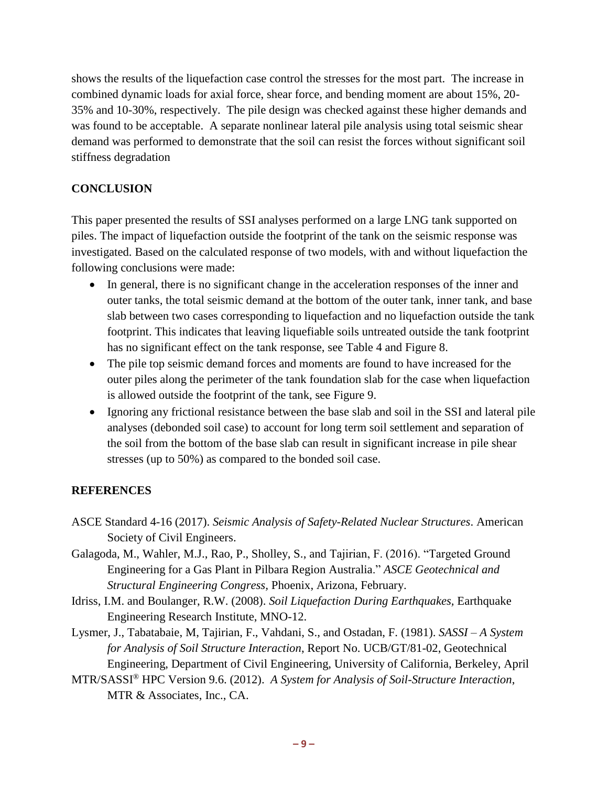shows the results of the liquefaction case control the stresses for the most part. The increase in combined dynamic loads for axial force, shear force, and bending moment are about 15%, 20- 35% and 10-30%, respectively. The pile design was checked against these higher demands and was found to be acceptable. A separate nonlinear lateral pile analysis using total seismic shear demand was performed to demonstrate that the soil can resist the forces without significant soil stiffness degradation

# **CONCLUSION**

This paper presented the results of SSI analyses performed on a large LNG tank supported on piles. The impact of liquefaction outside the footprint of the tank on the seismic response was investigated. Based on the calculated response of two models, with and without liquefaction the following conclusions were made:

- In general, there is no significant change in the acceleration responses of the inner and outer tanks, the total seismic demand at the bottom of the outer tank, inner tank, and base slab between two cases corresponding to liquefaction and no liquefaction outside the tank footprint. This indicates that leaving liquefiable soils untreated outside the tank footprint has no significant effect on the tank response, see Table 4 and Figure 8.
- The pile top seismic demand forces and moments are found to have increased for the outer piles along the perimeter of the tank foundation slab for the case when liquefaction is allowed outside the footprint of the tank, see Figure 9.
- Ignoring any frictional resistance between the base slab and soil in the SSI and lateral pile analyses (debonded soil case) to account for long term soil settlement and separation of the soil from the bottom of the base slab can result in significant increase in pile shear stresses (up to 50%) as compared to the bonded soil case.

# **REFERENCES**

- ASCE Standard 4-16 (2017). *Seismic Analysis of Safety-Related Nuclear Structures*. American Society of Civil Engineers.
- Galagoda, M., Wahler, M.J., Rao, P., Sholley, S., and Tajirian, F. (2016). "Targeted Ground Engineering for a Gas Plant in Pilbara Region Australia." *ASCE Geotechnical and Structural Engineering Congress,* Phoenix, Arizona, February.
- Idriss, I.M. and Boulanger, R.W. (2008). *Soil Liquefaction During Earthquakes,* Earthquake Engineering Research Institute, MNO-12.
- Lysmer, J., Tabatabaie, M, Tajirian, F., Vahdani, S., and Ostadan, F. (1981). *SASSI – A System for Analysis of Soil Structure Interaction*, Report No. UCB/GT/81-02, Geotechnical Engineering, Department of Civil Engineering, University of California, Berkeley, April
- MTR/SASSI® HPC Version 9.6. (2012). *A System for Analysis of Soil-Structure Interaction*, MTR & Associates, Inc., CA.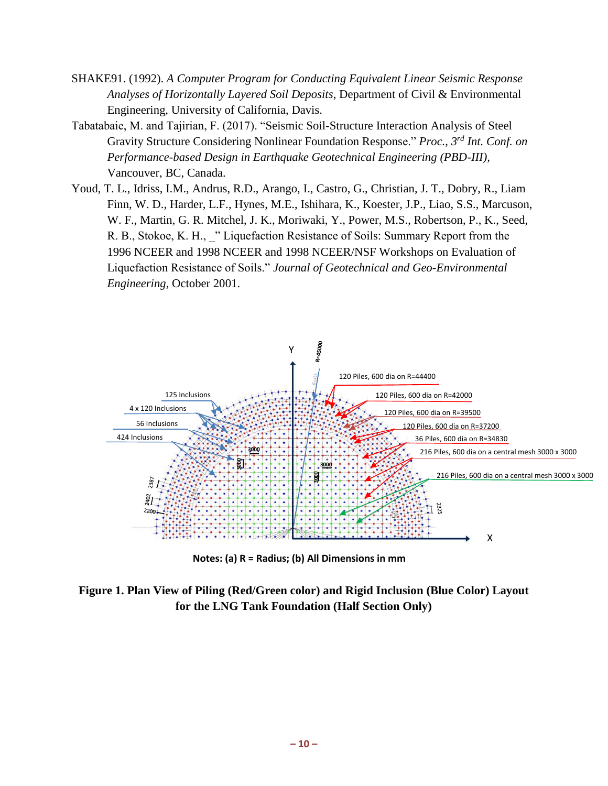- SHAKE91. (1992). *A Computer Program for Conducting Equivalent Linear Seismic Response Analyses of Horizontally Layered Soil Deposits*, Department of Civil & Environmental Engineering, University of California, Davis.
- Tabatabaie, M. and Tajirian, F. (2017). "Seismic Soil-Structure Interaction Analysis of Steel Gravity Structure Considering Nonlinear Foundation Response." *Proc., 3rd Int. Conf. on Performance-based Design in Earthquake Geotechnical Engineering (PBD-III),* Vancouver, BC, Canada.
- Youd, T. L., Idriss, I.M., Andrus, R.D., Arango, I., Castro, G., Christian, J. T., Dobry, R., Liam Finn, W. D., Harder, L.F., Hynes, M.E., Ishihara, K., Koester, J.P., Liao, S.S., Marcuson, W. F., Martin, G. R. Mitchel, J. K., Moriwaki, Y., Power, M.S., Robertson, P., K., Seed, R. B., Stokoe, K. H., " Liquefaction Resistance of Soils: Summary Report from the 1996 NCEER and 1998 NCEER and 1998 NCEER/NSF Workshops on Evaluation of Liquefaction Resistance of Soils." *Journal of Geotechnical and Geo-Environmental Engineering,* October 2001.



**Notes: (a) R = Radius; (b) All Dimensions in mm**

**Figure 1. Plan View of Piling (Red/Green color) and Rigid Inclusion (Blue Color) Layout for the LNG Tank Foundation (Half Section Only)**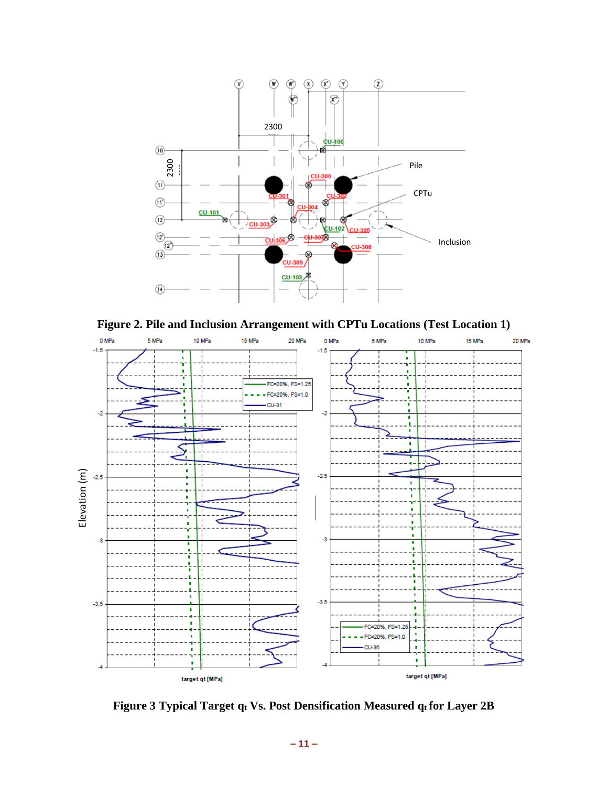

**Figure 2. Pile and Inclusion Arrangement with CPTu Locations (Test Location 1)**



**Figure 3 Typical Target q<sup>t</sup> Vs. Post Densification Measured q<sup>t</sup> for Layer 2B**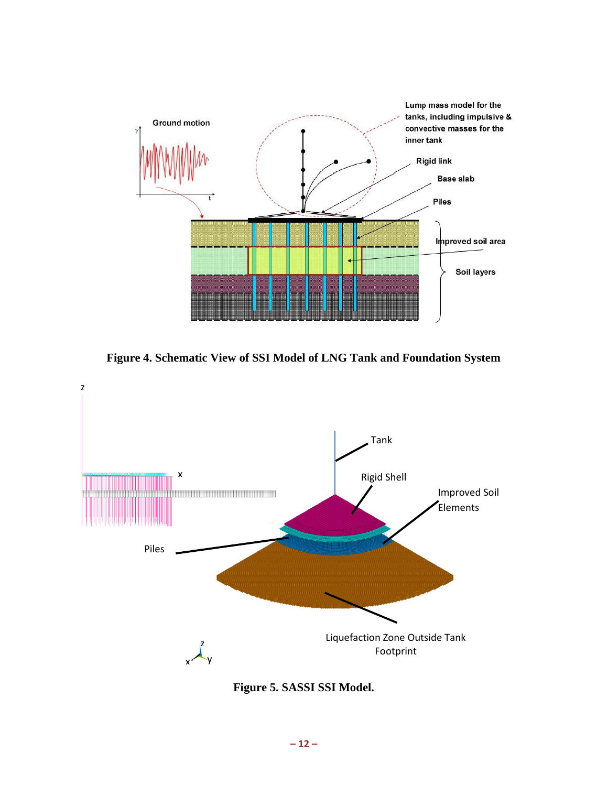

**Figure 4. Schematic View of SSI Model of LNG Tank and Foundation System**



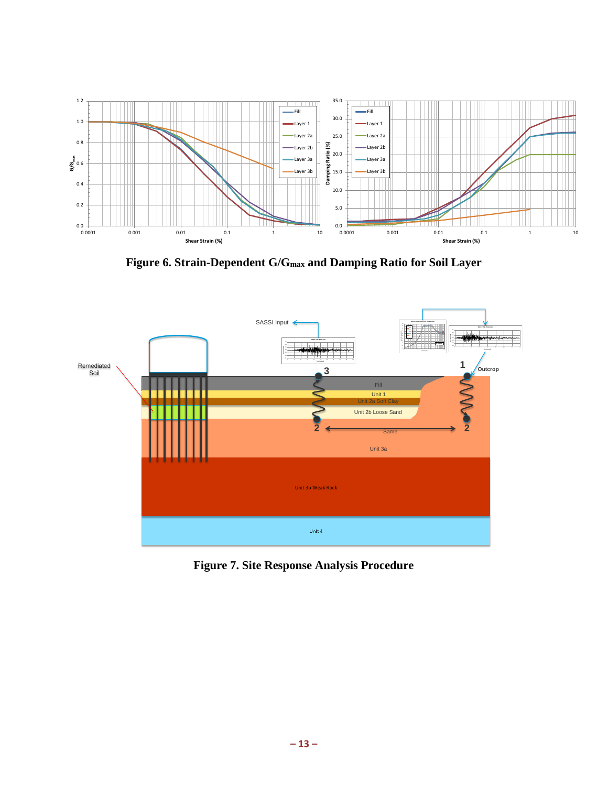

**Figure 6. Strain-Dependent G/Gmax and Damping Ratio for Soil Layer**



**Figure 7. Site Response Analysis Procedure**